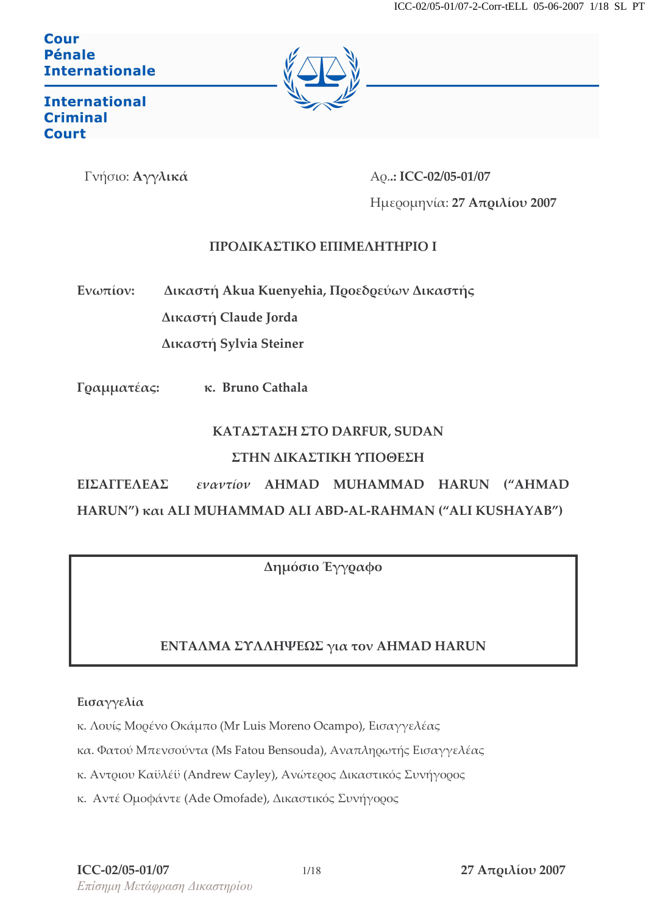#### Cour Pénale **Internationale**



**International Criminal Court** 

Γνήσιο: Αγγλικά

Ao..: ICC-02/05-01/07 Ημερομηνία: 27 Απριλίου 2007

### ΠΡΟΛΙΚΑΣΤΙΚΟ ΕΠΙΜΕΛΗΤΗΡΙΟ Ι

Ενωπίον: Δικαστή Akua Kuenyehia, Προεδρεύων Δικαστής Δικαστή Claude Jorda

Δικαστή Sylvia Steiner

Γραμματέας: κ. Bruno Cathala

# ΚΑΤΑΣΤΑΣΗ ΣΤΟ DARFUR, SUDAN ΣΤΗΝ ΔΙΚΑΣΤΙΚΗ ΥΠΟΘΕΣΗ

ΕΙΣΑΓΓΕΛΕΑΣ εναντίον ΑΗΜΑD MUHAMMAD HARUN ("AHMAD HARUN") και ALI MUHAMMAD ALI ABD-AL-RAHMAN ("ALI KUSHAYAB")

Δημόσιο Έγγραφο

# ΕΝΤΑΛΜΑ ΣΥΛΛΗΨΕΩΣ για τον ΑΗΜΑD HARUN

Εισαγγελία

- κ. Λουίς Μορένο Οκάμπο (Mr Luis Moreno Ocampo), Εισαγγελέας
- κα. Φατού Μπενσούντα (Ms Fatou Bensouda), Αναπληρωτής Εισαγγελέας
- κ. Αντριου Καϋλέϋ (Andrew Cayley), Ανώτερος Δικαστικός Συνήγορος
- κ. Αντέ Ομοφάντε (Ade Omofade), Δικαστικός Συνήγορος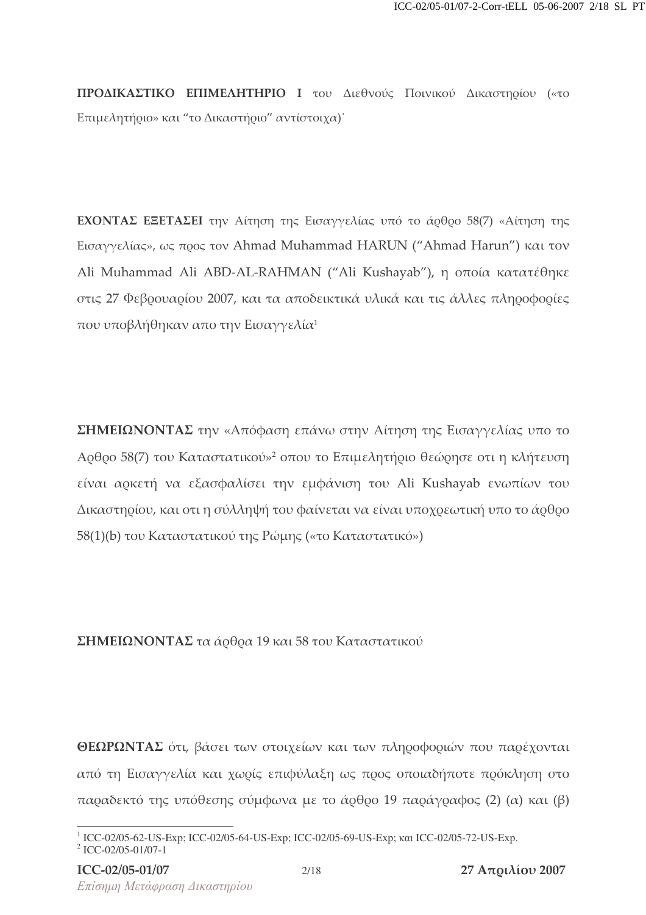**ΠΡΟΔΙΚΑΣΤΙΚΟ ΕΠΙΜΕΛΗΤΗΡΙΟ Ι** του Διεθνούς Ποινικού Δικαστηρίου («το Επιμελητήριο» και "το Δικαστήριο" αντίστοιχα)<sup>.</sup>

**ΕΧΟΝΤΑΣ ΕΞΕΤΑΣΕΙ** την Αίτηση της Εισαγγελίας υπό το άφθρο 58(7) «Αίτηση της Eισαγγελίας», ως προς τον Ahmad Muhammad HARUN ("Ahmad Harun") και τον Ali Muhammad Ali ABD-AL-RAHMAN ("Ali Kushayab"), η οποία κατατέθηκε στις 27 Φεβρουαρίου 2007, και τα αποδεικτικά υλικά και τις άλλες πληροφορίες που υποβλήθηκαν απο την Εισαγγελία<sup>1</sup>

ΣΗΜΕΙΩΝΟΝΤΑΣ την «Απόφαση επάνω στην Αίτηση της Εισαγγελίας υπο το Αρθρο 58(7) του Καταστατικού»<sup>2</sup> οπου το Επιμελητήριο θεώρησε οτι η κλήτευση είναι αρκετή να εξασφαλίσει την εμφάνιση του Ali Kushayab ενωπίων του Δικαστηρίου, και οτι η σύλληψή του φαίνεται να είναι υποχρεωτική υπο το άρθρο 58(1)(b) του Καταστατικού της Ρώμης («το Καταστατικό»)

#### **ΣΗΜΕΙΩΝΟΝΤΑΣ** τα άρθρα 19 και 58 του Καταστατικού

ΘΕΩΡΩΝΤΑΣ ότι, βάσει των στοιχείων και των πληροφοριών που παρέχονται από τη Εισαγγελία και χωρίς επιφύλαξη ως προς οποιαδήποτε πρόκληση στο παραδεκτό της υπόθεσης σύμφωνα με το άρθρο 19 παράγραφος (2) (α) και (β)

<sup>&</sup>lt;sup>1</sup> ICC-02/05-62-US-Exp; ICC-02/05-64-US-Exp; ICC-02/05-69-US-Exp; και ICC-02/05-72-US-Exp. 2 ICC-02/05-01/07-1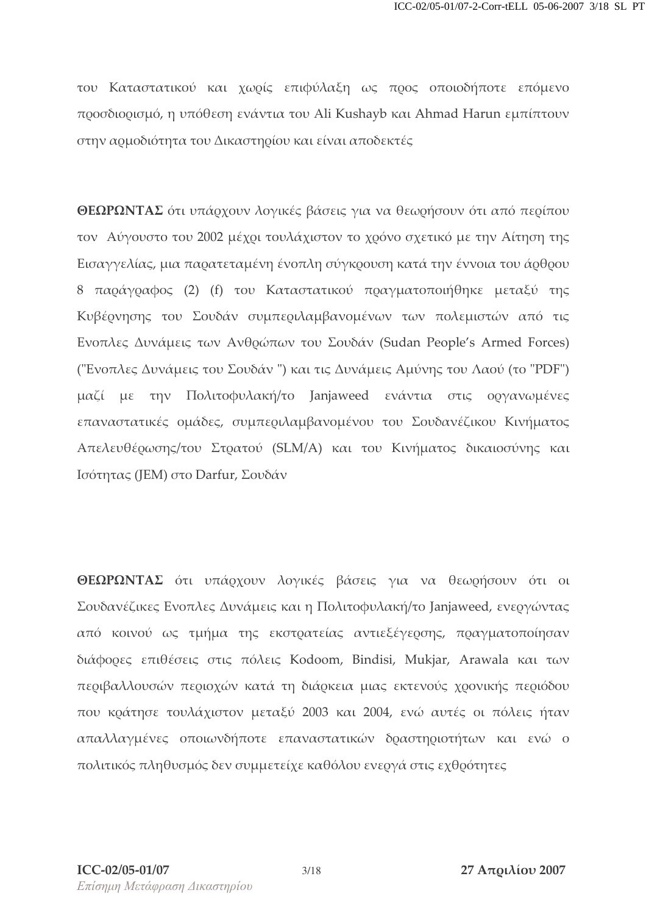του Καταστατικού και χωρίς επιφύλαξη ως προς οποιοδήποτε επόμενο προσδιορισμό, η υπόθεση ενάντια του Ali Kushayb και Ahmad Harun εμπίπτουν στην αρμοδιότητα του Δικαστηρίου και είναι αποδεκτές

ΘΕΩΡΩΝΤΑΣ ότι υπάρχουν λογικές βάσεις για να θεωρήσουν ότι από περίπου τον Αύγουστο του 2002 μέχρι τουλάχιστον το χρόνο σχετικό με την Αίτηση της Εισαγγελίας, μια παρατεταμένη ένοπλη σύγκρουση κατά την έννοια του άρθρου 8 παράγραφος (2) (f) του Καταστατικού πραγματοποιήθηκε μεταξύ της Κυβέρνησης του Σουδάν συμπεριλαμβανομένων των πολεμιστών από τις Ενοπλες Δυνάμεις των Ανθρώπων του Σουδάν (Sudan People's Armed Forces) ("Ένοπλες Δυνάμεις του Σουδάν") και τις Δυνάμεις Αμύνης του Λαού (το "PDF") μαζί με την Πολιτοφυλακή/το Janjaweed ενάντια στις οργανωμένες επαναστατικές ομάδες, συμπεριλαμβανομένου του Σουδανέζικου Κινήματος Απελευθέρωσης/του Στρατού (SLM/A) και του Κινήματος δικαιοσύνης και Ισότητας (JEM) στο Darfur, Σουδάν

ΘΕΩΡΩΝΤΑΣ ότι υπάρχουν λογικές βάσεις για να θεωρήσουν ότι οι Σουδανέζικες Ενοπλες Δυνάμεις και η Πολιτοφυλακή/το Janjaweed, ενεργώντας από κοινού ως τμήμα της εκστρατείας αντιεξέγερσης, πραγματοποίησαν διάφορες επιθέσεις στις πόλεις Kodoom, Bindisi, Mukjar, Arawala και των περιβαλλουσών περιοχών κατά τη διάρκεια μιας εκτενούς χρονικής περιόδου που κράτησε τουλάχιστον μεταξύ 2003 και 2004, ενώ αυτές οι πόλεις ήταν απαλλαγμένες οποιωνδήποτε επαναστατικών δραστηριοτήτων και ενώ ο πολιτικός πληθυσμός δεν συμμετείχε καθόλου ενεργά στις εχθρότητες

 $3/18$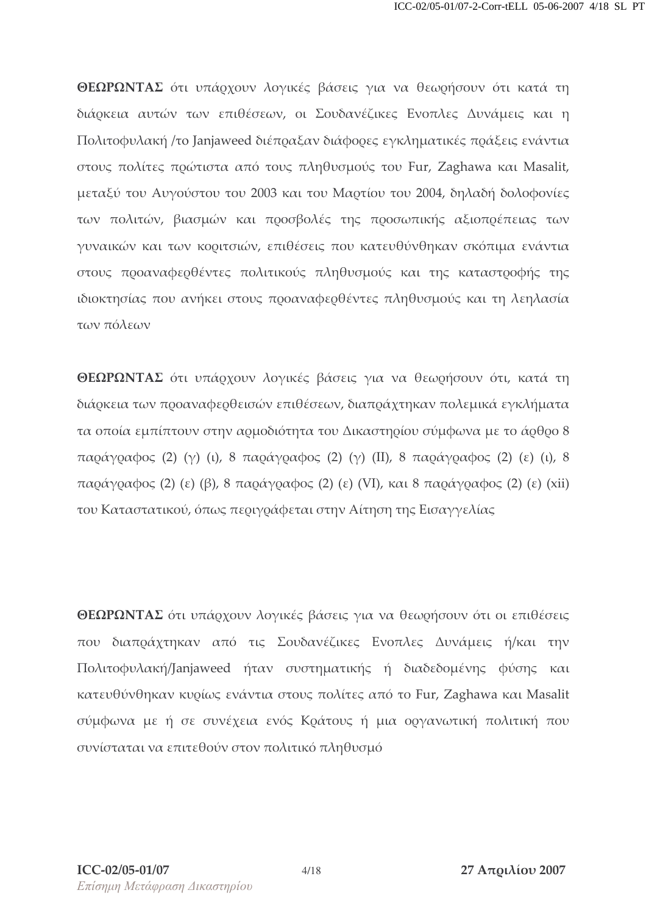**ΘΕΩΡΩΝΤΑΣ** ότι υπάρχουν λογικές βάσεις για να θεωρήσουν ότι κατά τη διάρκεια αυτών των επιθέσεων, οι Σουδανέζικες Ενοπλες Δυνάμεις και η Πολιτοφυλακή /το Janjaweed διέποαξαν διάφοοες εγκληματικές ποάξεις ενάντια στους πολίτες πρώτιστα από τους πληθυσμούς του Fur, Zaghawa και Masalit, μεταξύ του Αυγούστου του 2003 και του Μαρτίου του 2004, δηλαδή δολοφονίες των πολιτών, βιασμών και προσβολές της προσωπικής αξιοπρέπειας των γυναικών και των κοριτσιών, επιθέσεις που κατευθύνθηκαν σκόπιμα ενάντια στους προαναφερθέντες πολιτικούς πληθυσμούς και της καταστροφής της ιδιοκτησίας που ανήκει στους προαναφερθέντες πληθυσμούς και τη λεηλασία των πόλεων

ΘΕΩΡΩΝΤΑΣ ότι υπάρχουν λογικές βάσεις για να θεωρήσουν ότι, κατά τη διάρκεια των προαναφερθεισών επιθέσεων, διαπράχτηκαν πολεμικά εγκλήματα τα οποία εμπίπτουν στην αομοδιότητα του Δικαστηοίου σύμφωνα με το άοθοο 8 παράγραφος (2) (γ) (ι), 8 παράγραφος (2) (γ) (II), 8 παράγραφος (2) (ε) (ι), 8 παράγραφος (2) (ε) (β), 8 παράγραφος (2) (ε) (VI), και 8 παράγραφος (2) (ε) (xii) του Καταστατικού, όπως περιγράφεται στην Αίτηση της Εισαγγελίας

**ΘΕΩΡΩΝΤΑΣ** ότι υπάρχουν λογικές βάσεις για να θεωρήσουν ότι οι επιθέσεις που διαπράχτηκαν από τις Σουδανέζικες Ενοπλες Δυνάμεις ή/και την Πολιτοφυλακή/Janjaweed ήταν συστηματικής ή διαδεδομένης φύσης και κατευθύνθηκαν κυρίως ενάντια στους πολίτες από το Fur, Zaghawa και Masalit σύμφωνα με ή σε συνέχεια ενός Κράτους ή μια οργανωτική πολιτική που συνίσταται να επιτεθούν στον πολιτικό πληθυσμό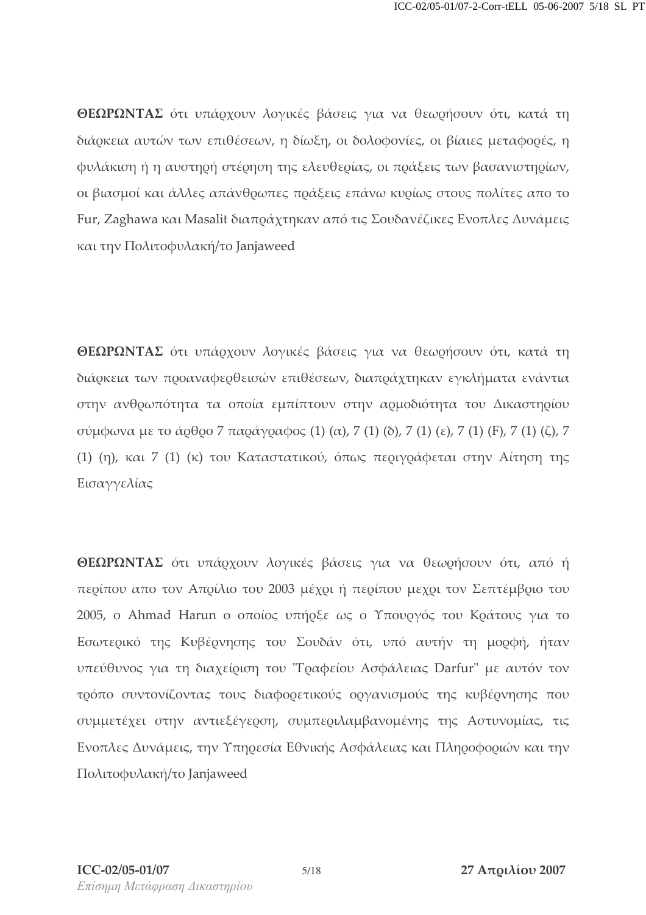**ΘΕΩΡΩΝΤΑΣ** ότι υπάρχουν λογικές βάσεις για να θεωρήσουν ότι, κατά τη διάρκεια αυτών των επιθέσεων, η δίωξη, οι δολοφονίες, οι βίαιες μεταφορές, η φυλάκιση ή η αυστηρή στέρηση της ελευθερίας, οι πράξεις των βασανιστηρίων, οι βιασμοί και άλλες απάνθοωπες ποάξεις επάνω κυοίως στους πολίτες απο το Fur, Zaghawa και Masalit διαποάχτηκαν από τις Σουδανέζικες Ενοπλες Δυνάμεις και την Πολιτοφυλακή/το Janjaweed

**ΘΕΩΡΩΝΤΑΣ** ότι υπάρχουν λογικές βάσεις για να θεωρήσουν ότι, κατά τη διάρκεια των προαναφερθεισών επιθέσεων, διαπράχτηκαν εγκλήματα ενάντια στην ανθοωπότητα τα οποία εμπίπτουν στην αομοδιότητα του Δικαστηοίου σύμφωνα με το άρθρο 7 παράγραφος (1) (α), 7 (1) (δ), 7 (1) (ε), 7 (1) (F), 7 (1) (ζ), 7 (1) (η), και 7 (1) (κ) του Καταστατικού, όπως περιγράφεται στην Αίτηση της Εισαγγελίας

**ΘΕΩΡΩΝΤΑΣ** ότι υπάρχουν λογικές βάσεις για να θεωρήσουν ότι, από ή περίπου απο τον Απρίλιο του 2003 μέχρι ή περίπου μεχρι τον Σεπτέμβριο του 2005, ο Ahmad Harun ο οποίος υπήρξε ως ο Υπουργός του Κράτους για το Εσωτερικό της Κυβέρνησης του Σουδάν ότι, υπό αυτήν τη μορφή, ήταν υπεύθυνος για τη διαχείριση του "Γραφείου Ασφάλειας Darfur" με αυτόν τον τρόπο συντονίζοντας τους διαφορετικούς οργανισμούς της κυβέρνησης που συμμετέχει στην αντιεξέγερση, συμπεριλαμβανομένης της Αστυνομίας, τις Ενοπλες Δυνάμεις, την Υπηρεσία Εθνικής Ασφάλειας και Πληροφοριών και την Πολιτοφυλακή/το Janjaweed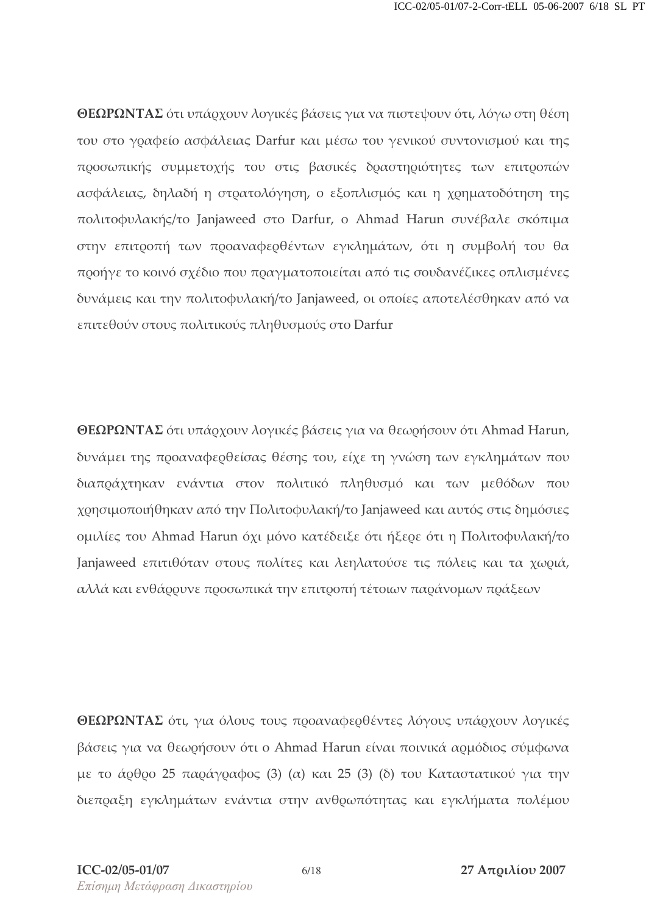**ΘΕΩΡΩΝΤΑΣ** ότι υπάρχουν λογικές βάσεις για να πιστεψουν ότι, λόγω στη θέση του στο γραφείο ασφάλειας Darfur και μέσω του γενικού συντονισμού και της προσωπικής συμμετοχής του στις βασικές δραστηριότητες των επιτροπών ασφάλειας, δηλαδή η στρατολόγηση, ο εξοπλισμός και η χρηματοδότηση της πολιτοφυλακής/το Janjaweed στο Darfur, ο Ahmad Harun συνέβαλε σκόπιμα στην επιτροπή των προαναφερθέντων εγκλημάτων, ότι η συμβολή του θα προήγε το κοινό σχέδιο που πραγματοποιείται από τις σουδανέζικες οπλισμένες δυνάμεις και την πολιτοφυλακή/το Janjaweed, οι οποίες αποτελέσθηκαν από να επιτεθούν στους πολιτικούς πληθυσμούς στο Darfur

**ΘΕΩΡΩΝΤΑΣ** ότι υπάρχουν λογικές βάσεις για να θεωρήσουν ότι Ahmad Harun, δυνάμει της ποοαναφεοθείσας θέσης του, είχε τη γνώση των εγκλημάτων που διαπράχτηκαν ενάντια στον πολιτικό πληθυσμό και των μεθόδων που χοησιμοποιήθηκαν από την Πολιτοφυλακή/το Janjaweed και αυτός στις δημόσιες ομιλίες του Ahmad Harun όχι μόνο κατέδειξε ότι ήξερε ότι η Πολιτοφυλακή/το Janjaweed επιτιθόταν στους πολίτες και λεηλατούσε τις πόλεις και τα χωριά, αλλά και ενθάρουνε προσωπικά την επιτροπή τέτοιων παράνομων πράξεων

**ΘΕΩΡΩΝΤΑΣ** ότι, για όλους τους προαναφερθέντες λόγους υπάρχουν λογικές βάσεις για να θεωρήσουν ότι ο Ahmad Harun είναι ποινικά αρμόδιος σύμφωνα με το άρθρο 25 παράγραφος (3) (α) και 25 (3) (δ) του Καταστατικού για την διεποαξη εγκλημάτων ενάντια στην ανθοωπότητας και εγκλήματα πολέμου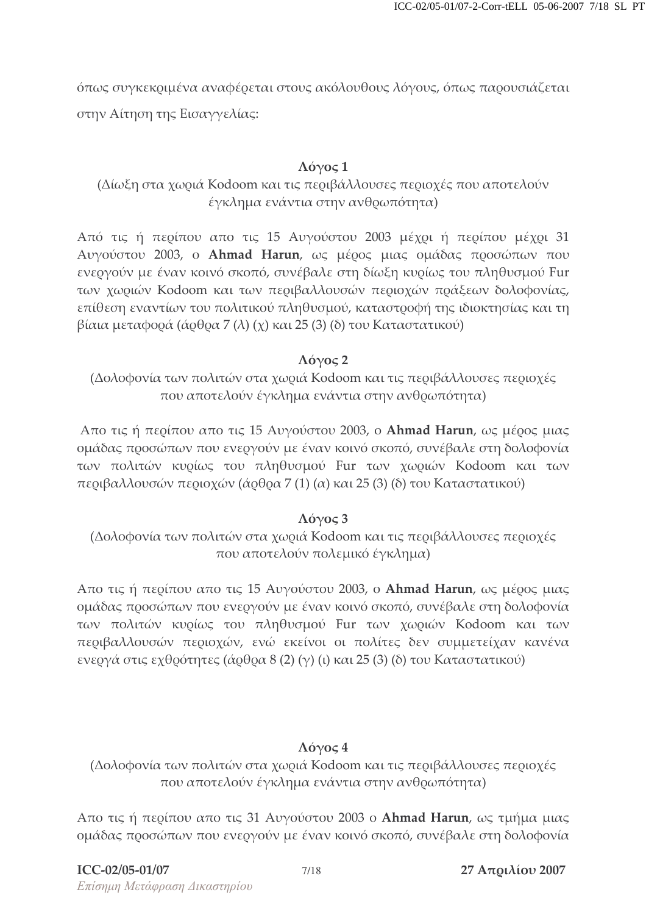όπως συγκεκριμένα αναφέρεται στους ακόλουθους λόγους, όπως παρουσιάζεται στην Αίτηση της Εισαγγελίας:

#### $\Lambda$ όνος 1

### (Δίωξη στα χωριά Kodoom και τις περιβάλλουσες περιοχές που αποτελούν έγκλημα ενάντια στην ανθρωπότητα)

Από τις ή περίπου απο τις 15 Αυγούστου 2003 μέχρι ή περίπου μέχρι 31 Αυγούστου 2003, ο **Ahmad Harun**, ως μέρος μιας ομάδας προσώπων που ενεργούν με έναν κοινό σκοπό, συνέβαλε στη δίωξη κυρίως του πληθυσμού Fur των χωριών Kodoom και των περιβαλλουσών περιοχών πράξεων δολοφονίας, επίθεση εναντίων του πολιτικού πληθυσμού, καταστροφή της ιδιοκτησίας και τη βίαια μεταφορά (άρθρα 7 (λ) (χ) και 25 (3) (δ) του Καταστατικού)

#### $\Lambda$ όγος 2

(Δολοφονία των πολιτών στα χωριά Kodoom και τις περιβάλλουσες περιοχές που αποτελούν έγκλημα ενάντια στην ανθρωπότητα)

Απο τις ή περίπου απο τις 15 Αυγούστου 2003, ο **Ahmad Harun**, ως μέρος μιας ομάδας προσώπων που ενεργούν με έναν κοινό σκοπό, συνέβαλε στη δολοφονία των πολιτών κυρίως του πληθυσμού Fur των χωριών Kodoom και των περιβαλλουσών περιοχών (άρθρα 7 (1) (α) και 25 (3) (δ) του Καταστατικού)

#### $\Lambda$ όγος 3

(Δολοφονία των πολιτών στα χωριά Kodoom και τις περιβάλλουσες περιοχές που αποτελούν πολεμικό έγκλημα)

Απο τις ή περίπου απο τις 15 Αυγούστου 2003, ο **Ahmad Harun**, ως μέρος μιας ομάδας προσώπων που ενεργούν με έναν κοινό σκοπό, συνέβαλε στη δολοφονία των πολιτών κυρίως του πληθυσμού Fur των χωριών Kodoom και των περιβαλλουσών περιοχών, ενώ εκείνοι οι πολίτες δεν συμμετείχαν κανένα ενεογά στις εχθοότητες (άοθοα 8 (2) (γ) (ι) και 25 (3) (δ) του Καταστατικού)

### Λόγος 4

### (Δολοφονία των πολιτών στα χωριά Kodoom και τις περιβάλλουσες περιοχές που αποτελούν έγκλημα ενάντια στην ανθρωπότητα)

Απο τις ή περίπου απο τις 31 Αυγούστου 2003 ο **Ahmad Harun**, ως τμήμα μιας ομάδας προσώπων που ενεργούν με έναν κοινό σκοπό, συνέβαλε στη δολοφονία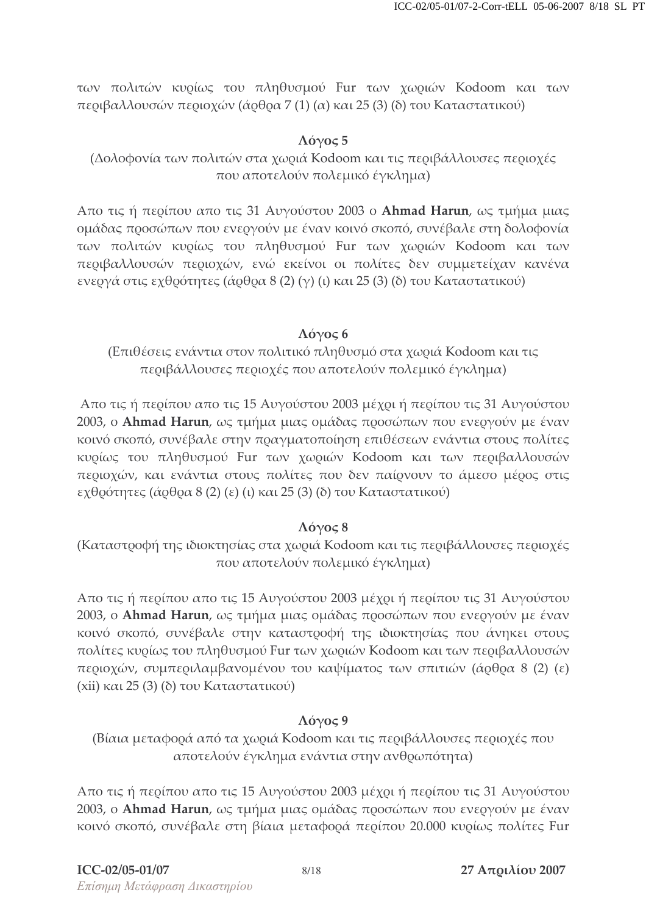των πολιτών κυρίως του πληθυσμού Fur των χωριών Kodoom και των περιβαλλουσών περιοχών (άρθρα 7 (1) (α) και 25 (3) (δ) του Καταστατικού)

### $\Lambda$ όγος 5

(Δολοφονία των πολιτών στα χωριά Kodoom και τις περιβάλλουσες περιοχές που αποτελούν πολεμικό έγκλημα)

Απο τις ή περίπου απο τις 31 Αυγούστου 2003 ο **Ahmad Harun**, ως τμήμα μιας ομάδας προσώπων που ενεργούν με έναν κοινό σκοπό, συνέβαλε στη δολοφονία των πολιτών κυρίως του πληθυσμού Fur των χωριών Kodoom και των περιβαλλουσών περιοχών, ενώ εκείνοι οι πολίτες δεν συμμετείχαν κανένα ενεογά στις εχθοότητες (άοθοα 8 (2) (γ) (ι) και 25 (3) (δ) του Καταστατικού)

#### Λόγος 6

(Επιθέσεις ενάντια στον πολιτικό πληθυσμό στα χωριά Kodoom και τις περιβάλλουσες περιοχές που αποτελούν πολεμικό έγκλημα)

Απο τις ή περίπου απο τις 15 Αυγούστου 2003 μέχρι ή περίπου τις 31 Αυγούστου 2003, ο **Ahmad Harun**, ως τμήμα μιας ομάδας προσώπων που ενεργούν με έναν κοινό σκοπό, συνέβαλε στην πραγματοποίηση επιθέσεων ενάντια στους πολίτες κυρίως του πληθυσμού Fur των χωριών Kodoom και των περιβαλλουσών περιοχών, και ενάντια στους πολίτες που δεν παίρνουν το άμεσο μέρος στις εχθοότητες (άοθοα 8 (2) (ε) (ι) και 25 (3) (δ) του Καταστατικού)

### Λόγος 8

(Καταστοοφή της ιδιοκτησίας στα χωοιά Kodoom και τις πεοιβάλλουσες πεοιοχές που αποτελούν πολεμικό έγκλημα)

Απο τις ή περίπου απο τις 15 Αυγούστου 2003 μέχρι ή περίπου τις 31 Αυγούστου 2003, ο **Ahmad Harun**, ως τμήμα μιας ομάδας προσώπων που ενεργούν με έναν κοινό σκοπό, συνέβαλε στην καταστροφή της ιδιοκτησίας που άνηκει στους πολίτες κυρίως του πληθυσμού Fur των χωριών Kodoom και των περιβαλλουσών περιοχών, συμπεριλαμβανομένου του καψίματος των σπιτιών (άρθρα 8 (2) (ε) (xii) και 25 (3) (δ) του Καταστατικού)

### $\Lambda$ όγος 9

(Βίαια μεταφορά από τα χωριά Kodoom και τις περιβάλλουσες περιοχές που αποτελούν έγκλημα ενάντια στην ανθρωπότητα)

Απο τις ή περίπου απο τις 15 Αυγούστου 2003 μέχρι ή περίπου τις 31 Αυγούστου 2003, ο **Ahmad Harun**, ως τμήμα μιας ομάδας προσώπων που ενεργούν με έναν κοινό σκοπό, συνέβαλε στη βίαια μεταφορά περίπου 20.000 κυρίως πολίτες Fur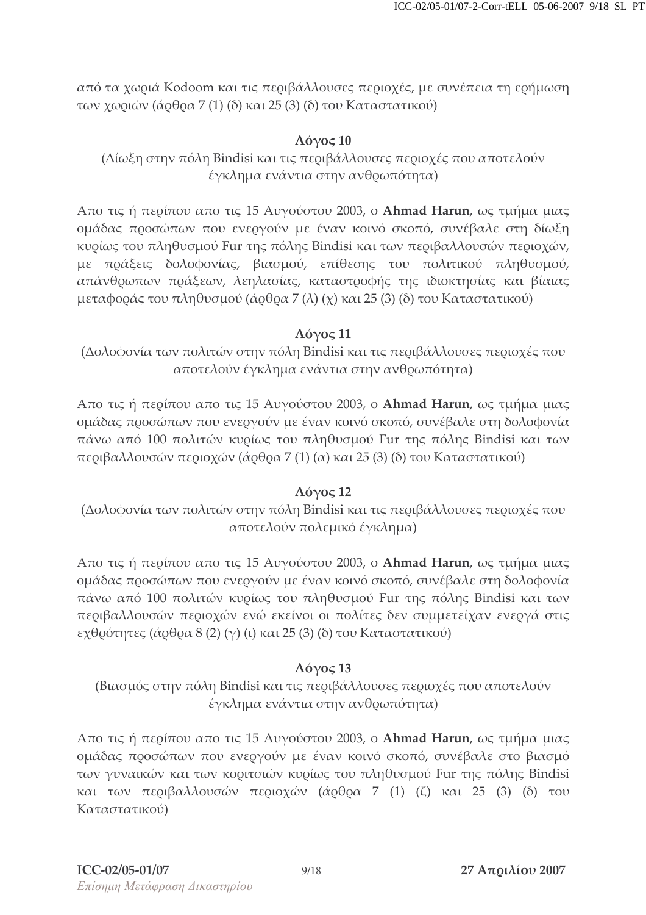από τα χωριά Kodoom και τις περιβάλλουσες περιοχές, με συνέπεια τη ερήμωση των χωριών (άρθρα 7 (1) (δ) και 25 (3) (δ) του Καταστατικού)

#### $\Lambda$ όγος 10

(Δίωξη στην πόλη Bindisi και τις περιβάλλουσες περιοχές που αποτελούν έγκλημα ενάντια στην ανθρωπότητα)

Απο τις ή περίπου απο τις 15 Αυγούστου 2003, ο **Ahmad Harun**, ως τμήμα μιας ομάδας προσώπων που ενεργούν με έναν κοινό σκοπό, συνέβαλε στη δίωξη κυρίως του πληθυσμού Fur της πόλης Bindisi και των περιβαλλουσών περιοχών, με πράξεις δολοφονίας, βιασμού, επίθεσης του πολιτικού πληθυσμού, απάνθοωπων ποάξεων, λεηλασίας, καταστοοφής της ιδιοκτησίας και βίαιας μεταφοράς του πληθυσμού (άρθρα 7 (λ) (χ) και 25 (3) (δ) του Καταστατικού)

#### $\Lambda$ όγος 11

(Δολοφονία των πολιτών στην πόλη Bindisi και τις περιβάλλουσες περιοχές που αποτελούν έγκλημα ενάντια στην ανθρωπότητα)

Απο τις ή περίπου απο τις 15 Αυγούστου 2003, ο **Ahmad Harun**, ως τμήμα μιας ομάδας προσώπων που ενεργούν με έναν κοινό σκοπό, συνέβαλε στη δολοφονία πάνω από 100 πολιτών κυρίως του πληθυσμού Fur της πόλης Bindisi και των περιβαλλουσών περιοχών (άρθρα 7 (1) (α) και 25 (3) (δ) του Καταστατικού)

#### $\Lambda$ όγος 12

(Δολοφονία των πολιτών στην πόλη Bindisi και τις περιβάλλουσες περιοχές που αποτελούν πολεμικό έγκλημα)

Απο τις ή περίπου απο τις 15 Αυγούστου 2003, ο **Ahmad Harun**, ως τμήμα μιας ομάδας προσώπων που ενεργούν με έναν κοινό σκοπό, συνέβαλε στη δολοφονία πάνω από 100 πολιτών κυρίως του πληθυσμού Fur της πόλης Bindisi και των περιβαλλουσών περιοχών ενώ εκείνοι οι πολίτες δεν συμμετείχαν ενεργά στις εχθοότητες (άοθοα 8 (2) (γ) (ι) και 25 (3) (δ) του Καταστατικού)

#### $\Lambda$ óyoς 13

(Βιασμός στην πόλη Bindisi και τις περιβάλλουσες περιοχές που αποτελούν έγκλημα ενάντια στην ανθρωπότητα)

Απο τις ή περίπου απο τις 15 Αυγούστου 2003, ο **Ahmad Harun**, ως τμήμα μιας ομάδας προσώπων που ενεργούν με έναν κοινό σκοπό, συνέβαλε στο βιασμό των γυναικών και των κοριτσιών κυρίως του πληθυσμού Fur της πόλης Bindisi και των περιβαλλουσών περιοχών (άρθρα 7 (1) (ζ) και 25 (3) (δ) του Καταστατικού)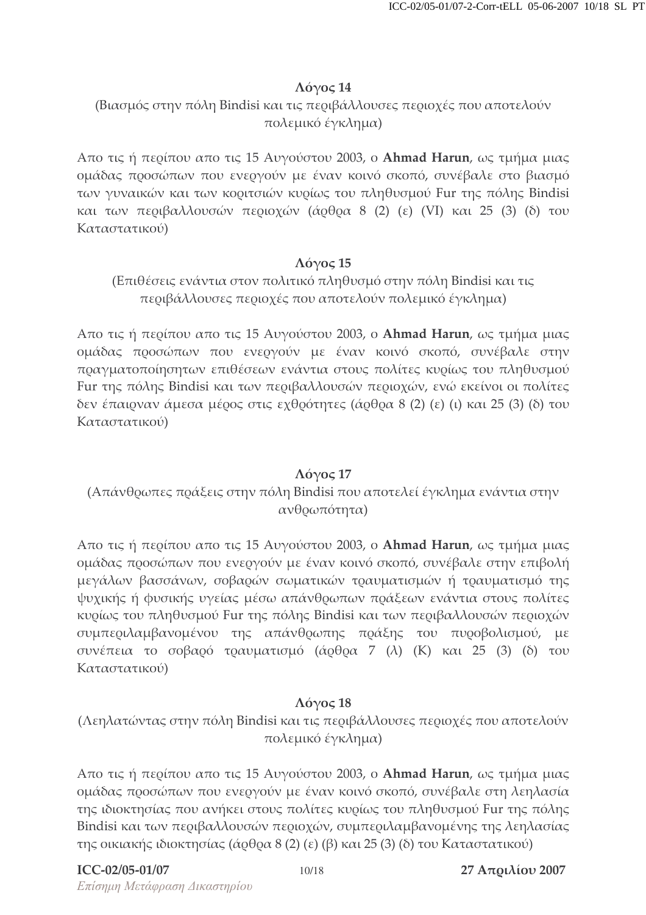### $\Lambda$ όγος 14

(Βιασμός στην πόλη Bindisi και τις περιβάλλουσες περιοχές που αποτελούν πολεμικό έγκλημα)

Απο τις ή περίπου απο τις 15 Αυγούστου 2003, ο **Ahmad Harun**, ως τμήμα μιας ομάδας προσώπων που ενεργούν με έναν κοινό σκοπό, συνέβαλε στο βιασμό των γυναικών και των κοριτσιών κυρίως του πληθυσμού Fur της πόλης Bindisi και των περιβαλλουσών περιοχών (άρθρα 8 (2) (ε) (VI) και 25 (3) (δ) του Καταστατικού)

### $\Lambda$ όγος 15

(Επιθέσεις ενάντια στον πολιτικό πληθυσμό στην πόλη Bindisi και τις περιβάλλουσες περιοχές που αποτελούν πολεμικό έγκλημα)

Απο τις ή περίπου απο τις 15 Αυγούστου 2003, ο **Ahmad Harun**, ως τμήμα μιας ομάδας προσώπων που ενεργούν με έναν κοινό σκοπό, συνέβαλε στην πραγματοποίησητων επιθέσεων ενάντια στους πολίτες κυρίως του πληθυσμού Fur της πόλης Bindisi και των περιβαλλουσών περιοχών, ενώ εκείνοι οι πολίτες δεν έπαιρναν άμεσα μέρος στις εχθρότητες (άρθρα 8 (2) (ε) (ι) και 25 (3) (δ) του Καταστατικού)

### $\Lambda$ όγος 17

(Απάνθοωπες ποάξεις στην πόλη Bindisi που αποτελεί έγκλημα ενάντια στην ανθρωπότητα)

Απο τις ή περίπου απο τις 15 Αυγούστου 2003, ο **Ahmad Harun**, ως τμήμα μιας ομάδας προσώπων που ενεργούν με έναν κοινό σκοπό, συνέβαλε στην επιβολή μεγάλων βασσάνων, σοβαρών σωματικών τραυματισμών ή τραυματισμό της ψυχικής ή φυσικής υγείας μέσω απάνθρωπων πράξεων ενάντια στους πολίτες κυρίως του πληθυσμού Fur της πόλης Bindisi και των περιβαλλουσών περιοχών συμπεριλαμβανομένου της απάνθρωπης πράξης του πυροβολισμού, με συνέπεια το σοβαρό τραυματισμό (άρθρα 7 (λ) (Κ) και 25 (3) (δ) του Καταστατικού)

### $Λ$ όγος 18

(Λεηλατώντας στην πόλη Bindisi και τις περιβάλλουσες περιοχές που αποτελούν πολεμικό έγκλημα)

Απο τις ή περίπου απο τις 15 Αυγούστου 2003, ο **Ahmad Harun**, ως τμήμα μιας ομάδας προσώπων που ενεργούν με έναν κοινό σκοπό, συνέβαλε στη λεηλασία της ιδιοκτησίας που ανήκει στους πολίτες κυρίως του πληθυσμού Fur της πόλης Bindisi και των περιβαλλουσών περιοχών, συμπεριλαμβανομένης της λεηλασίας της οικιακής ιδιοκτησίας (άρθρα 8 (2) (ε) (β) και 25 (3) (δ) του Καταστατικού)

### **ICC**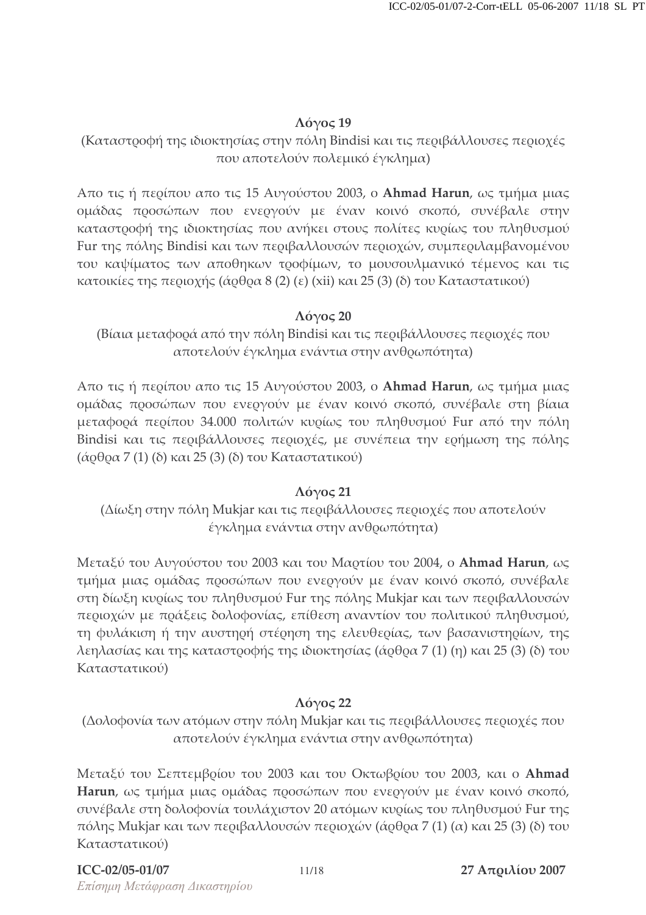#### $\Lambda$ όγος 19

(Καταστοοφή της ιδιοκτησίας στην πόλη Bindisi και τις πεοιβάλλουσες πεοιοχές που αποτελούν πολεμικό έγκλημα)

Απο τις ή περίπου απο τις 15 Αυγούστου 2003, ο **Ahmad Harun**, ως τμήμα μιας ομάδας προσώπων που ενεργούν με έναν κοινό σκοπό, συνέβαλε στην καταστροφή της ιδιοκτησίας που ανήκει στους πολίτες κυρίως του πληθυσμού Fur της πόλης Bindisi και των περιβαλλουσών περιοχών, συμπεριλαμβανομένου του καψίματος των αποθηκων τροφίμων, το μουσουλμανικό τέμενος και τις κατοικίες της περιοχής (άρθρα 8 (2) (ε) (xii) και 25 (3) (δ) του Καταστατικού)

### $\Lambda$ όγος 20

(Βίαια μεταφορά από την πόλη Bindisi και τις περιβάλλουσες περιοχές που αποτελούν έγκλημα ενάντια στην ανθρωπότητα)

Απο τις ή περίπου απο τις 15 Αυγούστου 2003, ο **Ahmad Harun**, ως τμήμα μιας ομάδας προσώπων που ενεργούν με έναν κοινό σκοπό, συνέβαλε στη βίαια μεταφορά περίπου 34.000 πολιτών κυρίως του πληθυσμού Fur από την πόλη Bindisi και τις περιβάλλουσες περιοχές, με συνέπεια την ερήμωση της πόλης (άρθρα 7 (1) (δ) και 25 (3) (δ) του Καταστατικού)

#### Λόγος 21

(Δίωξη στην πόλη Mukjar και τις περιβάλλουσες περιοχές που αποτελούν έγκλημα ενάντια στην ανθρωπότητα)

Μεταξύ του Αυγούστου του 2003 και του Μαρτίου του 2004, ο **Ahmad Harun**, ως τμήμα μιας ομάδας προσώπων που ενεργούν με έναν κοινό σκοπό, συνέβαλε στη δίωξη κυρίως του πληθυσμού Fur της πόλης Mukjar και των περιβαλλουσών περιοχών με πράξεις δολοφονίας, επίθεση αναντίον του πολιτικού πληθυσμού, τη φυλάκιση ή την αυστηρή στέρηση της ελευθερίας, των βασανιστηρίων, της λεηλασίας και της καταστροφής της ιδιοκτησίας (άρθρα 7 (1) (η) και 25 (3) (δ) του Καταστατικού)

#### $\Lambda$ όγος 22

(Δολοφονία των ατόμων στην πόλη Mukjar και τις περιβάλλουσες περιοχές που αποτελούν έγκλημα ενάντια στην ανθρωπότητα)

Μεταξύ του Σεπτεμβρίου του 2003 και του Οκτωβρίου του 2003, και ο **Ahmad Harun**, ως τμήμα μιας ομάδας προσώπων που ενεργούν με έναν κοινό σκοπό, συνέβαλε στη δολοφονία τουλάχιστον 20 ατόμων κυρίως του πληθυσμού Fur της πόλης Mukjar και των περιβαλλουσών περιοχών (άρθρα 7 (1) (α) και 25 (3) (δ) του Καταστατικού)

#### **ICC**

Επίσημη Μετάφραση Δικαστηρίου -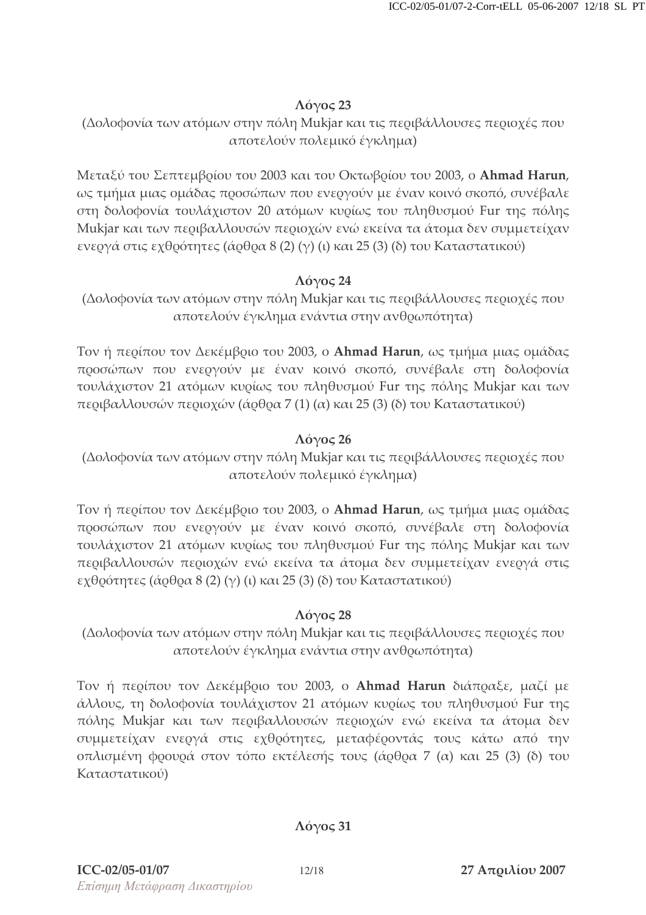#### $\Lambda$ Ó $\gamma$ O $\varsigma$  23

### (Δολοφονία των ατόμων στην πόλη Mukjar και τις περιβάλλουσες περιοχές που αποτελούν πολεμικό έγκλημα)

Μεταξύ του Σεπτεμβρίου του 2003 και του Οκτωβρίου του 2003, ο **Ahmad Harun**, ως τμήμα μιας ομάδας προσώπων που ενεργούν με έναν κοινό σκοπό, συνέβαλε στη δολοφονία τουλάχιστον 20 ατόμων κυρίως του πληθυσμού Fur της πόλης Mukjar και των περιβαλλουσών περιοχών ενώ εκείνα τα άτομα δεν συμμετείχαν ενεογά στις εχθοότητες (άοθοα 8 (2) (γ) (ι) και 25 (3) (δ) του Καταστατικού)

#### $\Lambda$ όγος 24

(Δολοφονία των ατόμων στην πόλη Mukjar και τις περιβάλλουσες περιοχές που αποτελούν έγκλημα ενάντια στην ανθρωπότητα)

Τον ή περίπου τον Δεκέμβριο του 2003, ο **Ahmad Harun**, ως τμήμα μιας ομάδας προσώπων που ενεργούν με έναν κοινό σκοπό, συνέβαλε στη δολοφονία τουλάχιστον 21 ατόμων κυρίως του πληθυσμού Fur της πόλης Mukjar και των περιβαλλουσών περιοχών (άρθρα 7 (1) (α) και 25 (3) (δ) του Καταστατικού)

### $\Lambda$ όγος 26

(Δολοφονία των ατόμων στην πόλη Mukjar και τις περιβάλλουσες περιοχές που αποτελούν πολεμικό έγκλημα)

Τον ή περίπου τον Δεκέμβριο του 2003, ο **Ahmad Harun**, ως τμήμα μιας ομάδας προσώπων που ενεργούν με έναν κοινό σκοπό, συνέβαλε στη δολοφονία τουλάχιστον 21 ατόμων κυρίως του πληθυσμού Fur της πόλης Mukjar και των περιβαλλουσών περιοχών ενώ εκείνα τα άτομα δεν συμμετείχαν ενεργά στις εχθοότητες (άοθοα 8 (2) (γ) (ι) και 25 (3) (δ) του Καταστατικού)

### $Λ$ όγος 28

(Δολοφονία των ατόμων στην πόλη Mukjar και τις περιβάλλουσες περιοχές που αποτελούν έγκλημα ενάντια στην ανθρωπότητα)

Τον ή περίπου τον Δεκέμβριο του 2003, ο **Ahmad Harun** διάπραξε, μαζί με άλλους, τη δολοφονία τουλάχιστον 21 ατόμων κυρίως του πληθυσμού Fur της πόλης Mukjar και των περιβαλλουσών περιοχών ενώ εκείνα τα άτομα δεν συμμετείχαν ενεογά στις εχθοότητες, μεταφέοοντάς τους κάτω από την οπλισμένη φοουοά στον τόπο εκτέλεσής τους (άοθοα 7 (α) και 25 (3) (δ) του Καταστατικού)

### $\Lambda$ όγος 31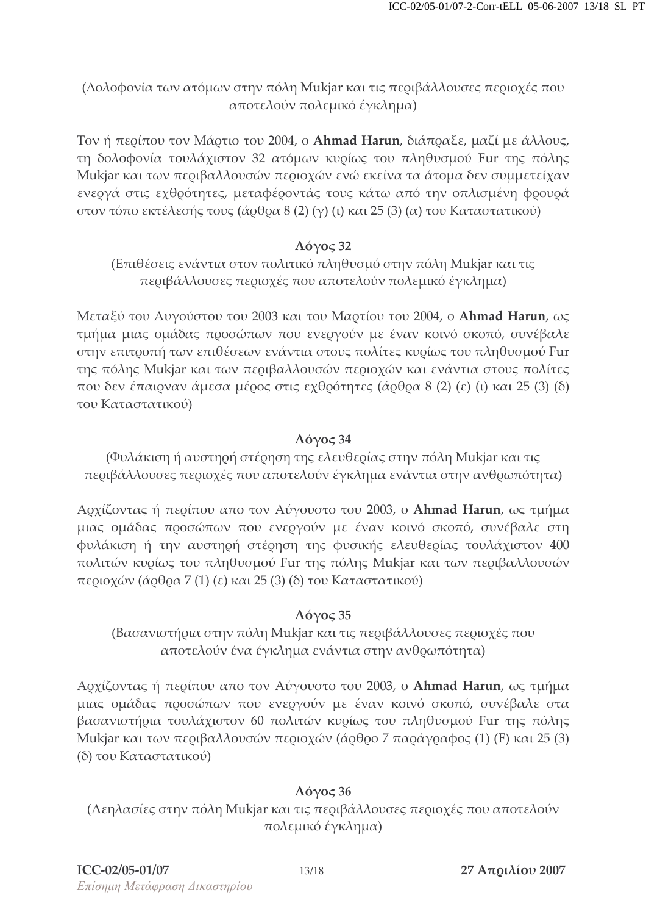(Δολοφονία των ατόμων στην πόλη Mukjar και τις περιβάλλουσες περιοχές που αποτελούν πολεμικό έγκλημα)

Τον ή περίπου τον Μάρτιο του 2004, ο **Ahmad Harun**, διάπραξε, μαζί με άλλους, τη δολοφονία τουλάχιστον 32 ατόμων κυρίως του πληθυσμού Fur της πόλης Mukjar και των περιβαλλουσών περιοχών ενώ εκείνα τα άτομα δεν συμμετείχαν ενεογά στις εχθοότητες, μεταφέοοντάς τους κάτω από την οπλισμένη φοουοά στον τόπο εκτέλεσής τους (άρθρα 8 (2) (γ) (ι) και 25 (3) (α) του Καταστατικού)

#### $\Lambda$ όγος 32

(Επιθέσεις ενάντια στον πολιτικό πληθυσμό στην πόλη Mukjar και τις περιβάλλουσες περιοχές που αποτελούν πολεμικό έγκλημα)

Μεταξύ του Αυγούστου του 2003 και του Μαρτίου του 2004, ο **Ahmad Harun**, ως τμήμα μιας ομάδας προσώπων που ενεργούν με έναν κοινό σκοπό, συνέβαλε στην επιτροπή των επιθέσεων ενάντια στους πολίτες κυρίως του πληθυσμού Fur της πόλης Mukjar και των περιβαλλουσών περιοχών και ενάντια στους πολίτες που δεν έπαιρναν άμεσα μέρος στις εχθρότητες (άρθρα 8 (2) (ε) (ι) και 25 (3) (δ) του Καταστατικού)

### $\Lambda$ όγος 34

(Φυλάκιση ή αυστηρή στέρηση της ελευθερίας στην πόλη Mukjar και τις περιβάλλουσες περιοχές που αποτελούν έγκλημα ενάντια στην ανθρωπότητα)

Αρχίζοντας ή περίπου απο τον Αύγουστο του 2003, ο **Ahmad Harun**, ως τμήμα μιας ομάδας προσώπων που ενεργούν με έναν κοινό σκοπό, συνέβαλε στη φυλάκιση ή την αυστηρή στέρηση της φυσικής ελευθερίας τουλάχιστον 400 πολιτών κυρίως του πληθυσμού Fur της πόλης Mukjar και των περιβαλλουσών περιοχών (άρθρα 7 (1) (ε) και 25 (3) (δ) του Καταστατικού)

### $\Lambda$ όγος 35

(Βασανιστήρια στην πόλη Mukjar και τις περιβάλλουσες περιοχές που αποτελούν ένα έγκλημα ενάντια στην ανθρωπότητα)

Αρχίζοντας ή περίπου απο τον Αύγουστο του 2003, ο **Ahmad Harun**, ως τμήμα μιας ομάδας προσώπων που ενεργούν με έναν κοινό σκοπό, συνέβαλε στα βασανιστήρια τουλάχιστον 60 πολιτών κυρίως του πληθυσμού Fur της πόλης Mukjar και των περιβαλλουσών περιοχών (άρθρο 7 παράγραφος (1) (F) και 25 (3) (δ) του Καταστατικού)

#### $\Lambda$ όγος 36

(Λεηλασίες στην πόλη Mukjar και τις περιβάλλουσες περιοχές που αποτελούν πολεμικό έγκλημα)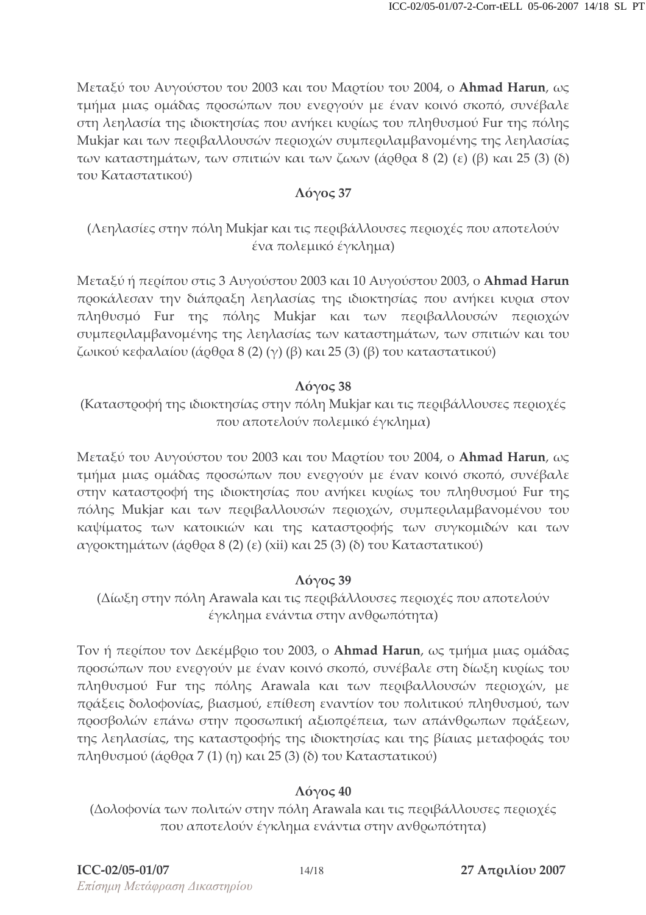Μεταξύ του Αυγούστου του 2003 και του Μαρτίου του 2004, ο **Ahmad Harun**, ως τμήμα μιας ομάδας προσώπων που ενεργούν με έναν κοινό σκοπό, συνέβαλε στη λεηλασία της ιδιοκτησίας που ανήκει κυρίως του πληθυσμού Fur της πόλης Mukjar και των περιβαλλουσών περιοχών συμπεριλαμβανομένης της λεηλασίας των καταστημάτων, των σπιτιών και των ζωων (άρθρα 8 (2) (ε) (β) και 25 (3) (δ) του Καταστατικού)

#### $\Lambda$ όγος 37

# (Λεηλασίες στην πόλη Mukjar και τις περιβάλλουσες περιοχές που αποτελούν ένα πολεμικό έγκλημα)

Μεταξύ ή περίπου στις 3 Αυγούστου 2003 και 10 Αυγούστου 2003, ο **Ahmad Harun** προκάλεσαν την διάπραξη λεηλασίας της ιδιοκτησίας που ανήκει κυρια στον πληθυσμό Fur της πόλης Mukjar και των περιβαλλουσών περιοχών συμπεριλαμβανομένης της λεηλασίας των καταστημάτων, των σπιτιών και του ζωικού κεφαλαίου (άρθρα 8 (2) (γ) (β) και 25 (3) (β) του καταστατικού)

### $\Lambda$ όγος 38

(Καταστοοφή της ιδιοκτησίας στην πόλη Mukjar και τις πεοιβάλλουσες πεοιοχές που αποτελούν πολεμικό έγκλημα)

Μεταξύ του Αυγούστου του 2003 και του Μαρτίου του 2004, ο **Ahmad Harun**, ως τμήμα μιας ομάδας προσώπων που ενεργούν με έναν κοινό σκοπό, συνέβαλε στην καταστροφή της ιδιοκτησίας που ανήκει κυρίως του πληθυσμού Fur της πόλης Mukjar και των περιβαλλουσών περιοχών, συμπεριλαμβανομένου του καψίματος των κατοικιών και της καταστροφής των συγκομιδών και των αγροκτημάτων (άρθρα 8 (2) (ε) (xii) και 25 (3) (δ) του Καταστατικού)

### $\Lambda$ <sub>Ó</sub> $\gamma$ o $\varsigma$  39

(Δίωξη στην πόλη Arawala και τις περιβάλλουσες περιοχές που αποτελούν έγκλημα ενάντια στην ανθρωπότητα)

Τον ή περίπου τον Δεκέμβριο του 2003, ο **Ahmad Harun**, ως τμήμα μιας ομάδας προσώπων που ενεργούν με έναν κοινό σκοπό, συνέβαλε στη δίωξη κυρίως του πληθυσμού Fur της πόλης Arawala και των περιβαλλουσών περιοχών, με ποάξεις δολοφονίας, βιασμού, επίθεση εναντίον του πολιτικού πληθυσμού, των προσβολών επάνω στην προσωπική αξιοπρέπεια, των απάνθρωπων πράξεων, της λεηλασίας, της καταστροφής της ιδιοκτησίας και της βίαιας μεταφοράς του πληθυσμού (άρθρα 7 (1) (η) και 25 (3) (δ) του Καταστατικού)

# $\Lambda$ όγος 40

(Δολοφονία των πολιτών στην πόλη Arawala και τις περιβάλλουσες περιοχές που αποτελούν έγκλημα ενάντια στην ανθρωπότητα)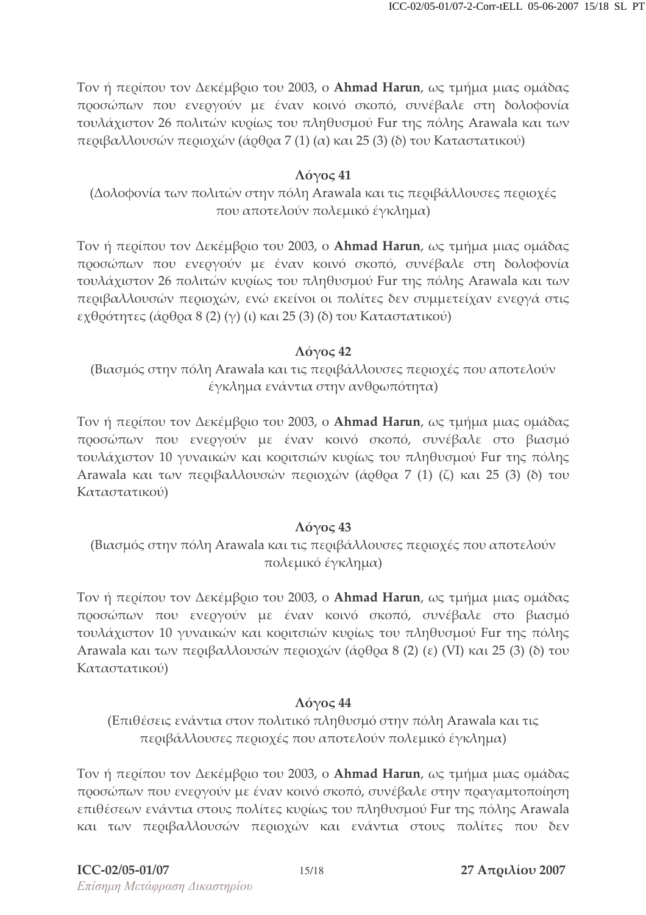Τον ή περίπου τον Δεκέμβριο του 2003, ο **Ahmad Harun**, ως τμήμα μιας ομάδας προσώπων που ενεργούν με έναν κοινό σκοπό, συνέβαλε στη δολοφονία τουλάχιστον 26 πολιτών κυρίως του πληθυσμού Fur της πόλης Arawala και των περιβαλλουσών περιοχών (άρθρα 7 (1) (α) και 25 (3) (δ) του Καταστατικού)

#### $\Lambda$ όγος 41

(Δολοφονία των πολιτών στην πόλη Arawala και τις περιβάλλουσες περιοχές που αποτελούν πολεμικό έγκλημα)

Τον ή περίπου τον Δεκέμβριο του 2003, ο **Ahmad Harun**, ως τμήμα μιας ομάδας προσώπων που ενεργούν με έναν κοινό σκοπό, συνέβαλε στη δολοφονία τουλάχιστον 26 πολιτών κυρίως του πληθυσμού Fur της πόλης Arawala και των περιβαλλουσών περιοχών, ενώ εκείνοι οι πολίτες δεν συμμετείχαν ενεργά στις εχθοότητες (άοθοα 8 (2) (γ) (ι) και 25 (3) (δ) του Καταστατικού)

#### $\Lambda$ όγος 42

(Βιασμός στην πόλη Arawala και τις περιβάλλουσες περιοχές που αποτελούν έγκλημα ενάντια στην ανθρωπότητα)

Τον ή περίπου τον Δεκέμβριο του 2003, ο **Ahmad Harun**, ως τμήμα μιας ομάδας προσώπων που ενεργούν με έναν κοινό σκοπό, συνέβαλε στο βιασμό τουλάχιστον 10 γυναικών και κοριτσιών κυρίως του πληθυσμού Fur της πόλης Arawala και των περιβαλλουσών περιοχών (άρθρα 7 (1) (ζ) και 25 (3) (δ) του Καταστατικού)

### $\Lambda$ όγος 43

(Βιασμός στην πόλη Arawala και τις περιβάλλουσες περιοχές που αποτελούν πολεμικό έγκλημα)

Τον ή περίπου τον Δεκέμβριο του 2003, ο **Ahmad Harun**, ως τμήμα μιας ομάδας προσώπων που ενεργούν με έναν κοινό σκοπό, συνέβαλε στο βιασμό τουλάχιστον 10 γυναικών και κοριτσιών κυρίως του πληθυσμού Fur της πόλης Arawala και των περιβαλλουσών περιοχών (άρθρα 8 (2) (ε) (VI) και 25 (3) (δ) του Καταστατικού)

### $\Lambda$ όγος 44

(Επιθέσεις ενάντια στον πολιτικό πληθυσμό στην πόλη Arawala και τις περιβάλλουσες περιοχές που αποτελούν πολεμικό έγκλημα)

Τον ή περίπου τον Δεκέμβριο του 2003, ο **Ahmad Harun**, ως τμήμα μιας ομάδας προσώπων που ενεργούν με έναν κοινό σκοπό, συνέβαλε στην πραγαμτοποίηση επιθέσεων ενάντια στους πολίτες κυρίως του πληθυσμού Fur της πόλης Arawala και των περιβαλλουσών περιοχών και ενάντια στους πολίτες που δεν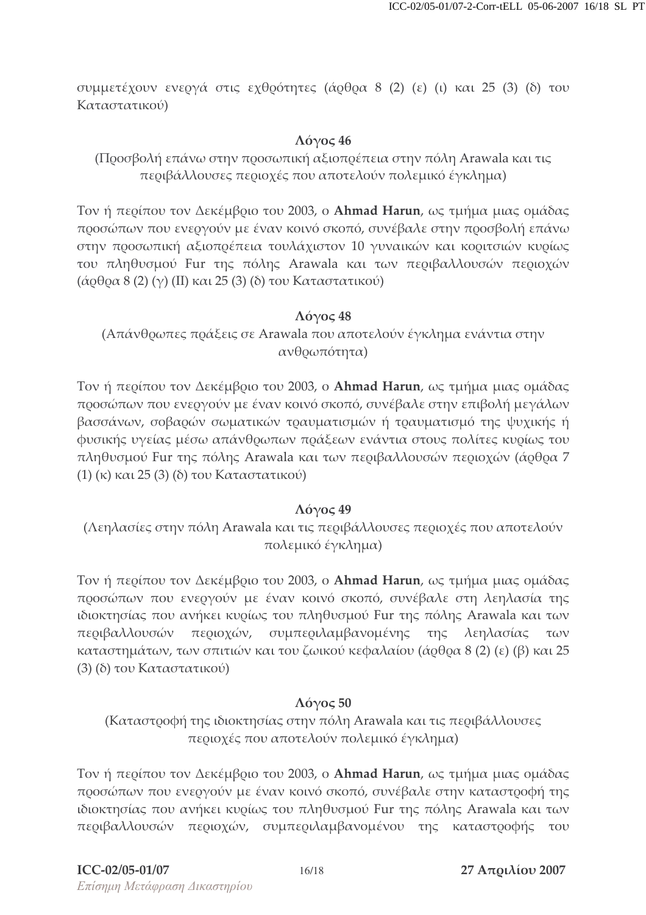συμμετέχουν ενεογά στις εχθοότητες (άοθοα 8 (2) (ε) (ι) και 25 (3) (δ) του Καταστατικού)

#### $\Lambda$ όγος 46

(Προσβολή επάνω στην προσωπική αξιοπρέπεια στην πόλη Arawala και τις περιβάλλουσες περιοχές που αποτελούν πολεμικό έγκλημα)

Τον ή περίπου τον Δεκέμβριο του 2003, ο **Ahmad Harun**, ως τμήμα μιας ομάδας προσώπων που ενεργούν με έναν κοινό σκοπό, συνέβαλε στην προσβολή επάνα στην προσωπική αξιοπρέπεια τουλάχιστον 10 γυναικών και κοριτσιών κυρίως του πληθυσμού Fur της πόλης Arawala και των περιβαλλουσών περιοχών (άρθρα 8 (2) (γ) (ΙΙ) και 25 (3) (δ) του Καταστατικού)

#### $\Lambda$ όγος 48

(Απάνθρωπες πράξεις σε Arawala που αποτελούν έγκλημα ενάντια στην ανθρωπότητα)

Τον ή περίπου τον Δεκέμβριο του 2003, ο **Ahmad Harun**, ως τμήμα μιας ομάδας προσώπων που ενεργούν με έναν κοινό σκοπό, συνέβαλε στην επιβολή μεγάλων βασσάνων, σοβαρών σωματικών τραυματισμών ή τραυματισμό της ψυχικής ή φυσικής υγείας μέσω απάνθοωπων ποάξεων ενάντια στους πολίτες κυοίως του πληθυσμού Fur της πόλης Arawala και των περιβαλλουσών περιοχών (άρθρα 7  $\pi$  (1) (κ) και 25 (3) (δ) του Καταστατικού)

#### $\Lambda$ όγος 49

(Λεηλασίες στην πόλη Arawala και τις περιβάλλουσες περιοχές που αποτελούν πολεμικό έγκλημα)

Τον ή περίπου τον Δεκέμβριο του 2003, ο **Ahmad Harun**, ως τμήμα μιας ομάδας προσώπων που ενεργούν με έναν κοινό σκοπό, συνέβαλε στη λεηλασία της ιδιοκτησίας που ανήκει κυρίως του πληθυσμού Fur της πόλης Arawala και των περιβαλλουσών περ ιοχών, συμπεριλαμβανομένης της λεηλασίας των καταστημάτων, των σπιτιών και του ζωικού κεφαλαίου (άρθρα 8 (2) (ε) (β) και 25 (3) (δ) του Καταστατικού)

#### $\Lambda$ όγος 50

(Καταστοοφή της ιδιοκτησίας στην πόλη Arawala και τις πεοιβάλλουσες περιοχές που αποτελούν πολεμικό έγκλημα)

Τον ή περίπου τον Δεκέμβριο του 2003, ο **Ahmad Harun**, ως τμήμα μιας ομάδας προσώπων που ενεργούν με έναν κοινό σκοπό, συνέβαλε στην καταστροφή της ιδιοκτησίας που ανήκει κυρίως του πληθυσμού Fur της πόλης Arawala και των περιβαλλουσών περιοχών, συμπεριλαμβανομένου της καταστροφής του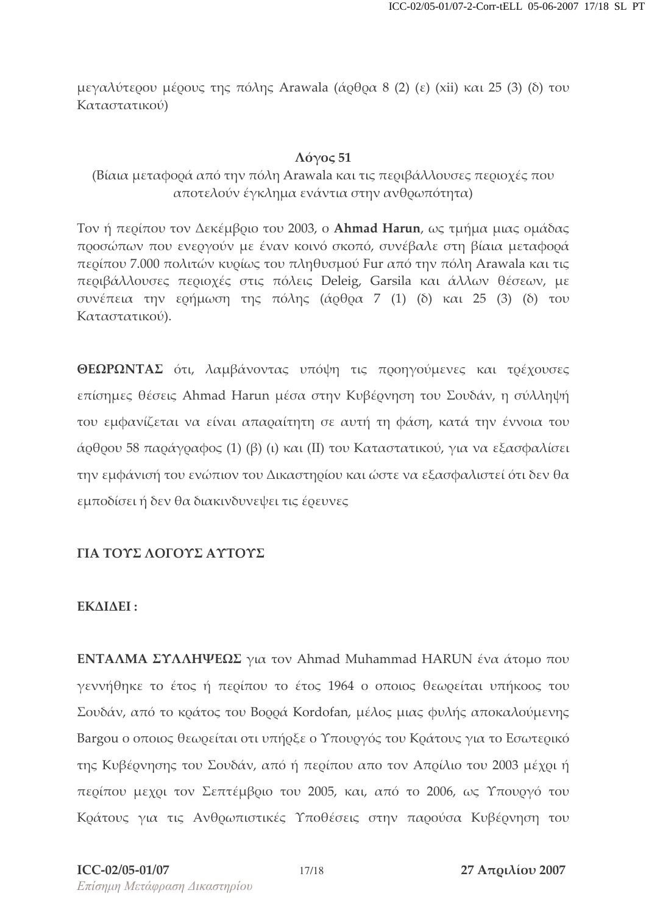μεγαλύτερου μέρους της πόλης Arawala (άρθρα 8 (2) (ε) (xii) και 25 (3) (δ) του Καταστατικού)

#### $\Lambda$ όγος 51

(Βίαια μεταφορά από την πόλη Arawala και τις περιβάλλουσες περιοχές που αποτελούν έγκλημα ενάντια στην ανθρωπότητα)

Τον ή περίπου τον Δεκέμβριο του 2003, ο **Ahmad Harun**, ως τμήμα μιας ομάδας προσώπων που ενεργούν με έναν κοινό σκοπό, συνέβαλε στη βίαια μεταφορά περίπου 7.000 πολιτών κυρίως του πληθυσμού Fur από την πόλη Arawala και τις περιβάλλουσες περιοχές στις πόλεις Deleig, Garsila και άλλων θέσεων, με συνέπεια την ερήμωση της πόλης (άρθρα 7 (1) (δ) και 25 (3) (δ) του Καταστατικού).

**ΘΕΩΡΩΝΤΑΣ** ότι, λαμβάνοντας υπόψη τις προηγούμενες και τρέχουσες επίσημες θέσεις Ahmad Harun μέσα στην Κυβέρνηση του Σουδάν, η σύλληψή του εμφανίζεται να είναι απαραίτητη σε αυτή τη φάση, κατά την έννοια του άρθρου 58 παράγραφος (1) (β) (ι) και (II) του Καταστατικού, για να εξασφαλίσει την εμφάνισή του ενώπιον του Δικαστηρίου και ώστε να εξασφαλιστεί ότι δεν θα εμποδίσει ή δεν θα διακινδυνεψει τις έρευνες

#### ΓΙΑ ΤΟΥΣ ΛΟΓΟΥΣ ΑΥΤΟΥΣ

#### ΕΚΔΙΔΕΙ:

ENTAΛΜΑ ΣΥΛΛΗΨΕΩΣ για τον Ahmad Muhammad HARUN ένα άτομο που γεννήθηκε το έτος ή περίπου το έτος 1964 ο οποιος θεωρείται υπήκοος του Σουδάν, από το κράτος του Βορρά Kordofan, μέλος μιας φυλής αποκαλούμενης Bargou ο οποιος θεωρείται οτι υπήρξε ο Υπουργός του Κράτους για το Εσωτερικό της Κυβέρνησης του Σουδάν, από ή περίπου απο τον Απρίλιο του 2003 μέχρι ή περίπου μεχρι τον Σεπτέμβριο του 2005, και, από το 2006, ως Υπουργό του Κοάτους για τις Ανθοωπιστικές Υποθέσεις στην παοούσα Κυβέονηση του